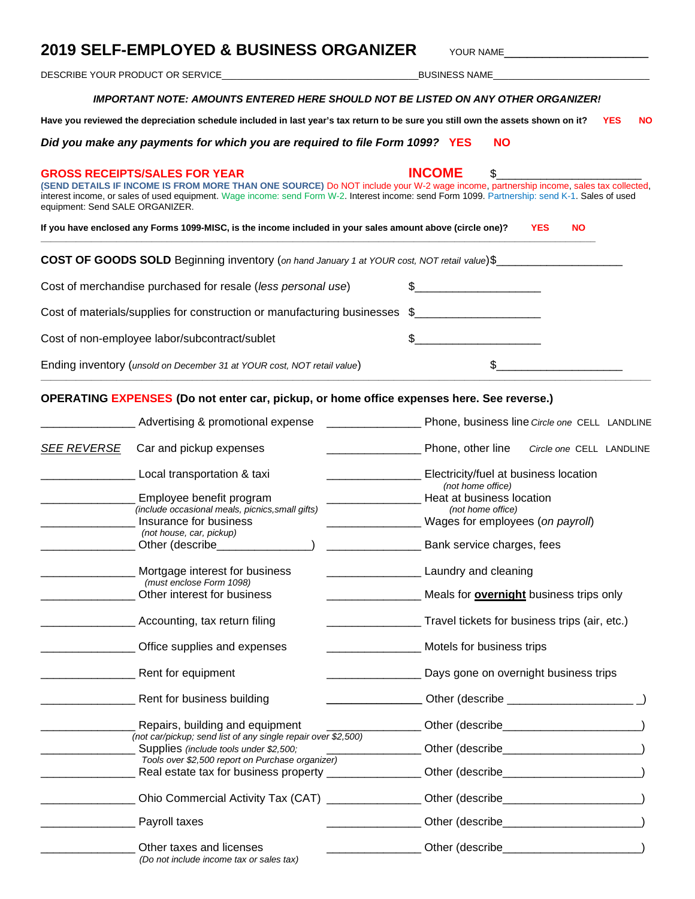## **2019 SELF-EMPLOYED & BUSINESS ORGANIZER** YOUR NAME

DESCRIBE YOUR PRODUCT OR SERVICE\_\_\_\_\_\_\_\_\_\_\_\_\_\_\_\_\_\_\_\_\_\_\_\_\_\_\_\_\_\_\_\_\_\_\_\_\_\_\_BUSINESS NAME\_\_\_\_\_\_\_\_\_\_\_\_\_\_\_\_\_\_\_\_\_\_\_\_\_\_\_\_\_\_\_

#### *IMPORTANT NOTE: AMOUNTS ENTERED HERE SHOULD NOT BE LISTED ON ANY OTHER ORGANIZER!*

**Have you reviewed the depreciation schedule included in last year's tax return to be sure you still own the assets shown on it? YES NO**

*Did you make any payments for which you are required to file Form 1099?* **YES NO**

# **GROSS RECEIPTS/SALES FOR YEAR INCOME** \$\_\_\_\_\_\_\_\_\_\_\_\_\_\_\_\_\_\_\_\_\_\_\_ **(SEND DETAILS IF INCOME IS FROM MORE THAN ONE SOURCE)** Do NOT include your W-2 wage income, partnership income, sales tax collected, interest income, or sales of used equipment. Wage income: send Form W-2. Interest income: send Form 1099. Partnership: send K-1. Sales of used equipment: Send SALE ORGANIZER. **If you have enclosed any Forms 1099-MISC, is the income included in your sales amount above (circle one)? YES NO \_\_\_\_\_\_\_\_\_\_\_\_\_\_\_\_\_\_\_\_\_\_\_\_\_\_\_\_\_\_\_\_\_\_\_\_\_\_\_\_\_\_\_\_\_\_\_\_\_\_\_\_\_\_\_\_\_\_\_\_\_\_\_\_\_\_\_\_\_\_\_\_\_\_\_\_\_\_\_\_\_\_\_\_\_\_\_\_\_\_\_\_\_\_\_\_\_\_\_\_\_\_\_\_\_\_\_\_\_\_ COST OF GOODS SOLD** Beginning inventory (*on hand January 1 at YOUR cost, NOT retail value*)\$ Cost of merchandise purchased for resale (*less personal use*) \$\_\_\_\_\_\_\_\_\_\_\_\_\_\_\_\_\_\_\_\_ Cost of materials/supplies for construction or manufacturing businesses \$\_\_\_\_\_\_\_\_\_\_\_\_\_\_\_\_\_\_\_\_\_\_\_\_\_\_ Cost of non-employee labor/subcontract/sublet  $\qquad \qquad$  \$ Ending inventory (*unsold on December 31 at YOUR cost, NOT retail value*)  $\$ **\_\_\_\_\_\_\_\_\_\_\_\_\_\_\_\_\_\_\_\_\_\_\_\_\_\_\_\_\_\_\_\_\_\_\_\_\_\_\_\_\_\_\_\_\_\_\_\_\_\_\_\_\_\_\_\_\_\_\_\_\_\_\_\_\_\_\_\_\_\_\_\_\_\_\_\_\_\_\_\_\_\_\_\_\_\_\_\_\_\_\_\_\_\_\_\_\_\_\_\_\_\_\_\_\_\_\_\_\_\_\_\_\_\_\_\_\_\_\_\_\_ OPERATING EXPENSES (Do not enter car, pickup, or home office expenses here. See reverse.)**

|                    | Advertising & promotional expense                                                                    | Phone, business line Circle one CELL LANDLINE                                           |  |  |
|--------------------|------------------------------------------------------------------------------------------------------|-----------------------------------------------------------------------------------------|--|--|
| <b>SEE REVERSE</b> | Car and pickup expenses                                                                              | Phone, other line<br>Circle one CELL LANDLINE                                           |  |  |
|                    | Local transportation & taxi                                                                          | Electricity/fuel at business location<br>(not home office)<br>Heat at business location |  |  |
|                    | Employee benefit program                                                                             |                                                                                         |  |  |
|                    | (include occasional meals, picnics, small gifts)                                                     | (not home office)                                                                       |  |  |
|                    | Insurance for business                                                                               | Wages for employees (on payroll)                                                        |  |  |
|                    | (not house, car, pickup)                                                                             |                                                                                         |  |  |
|                    | Other (describe internal control)                                                                    | <u>___________</u> ______________ Bank service charges, fees                            |  |  |
|                    | Mortgage interest for business                                                                       | <b>Laundry and cleaning</b>                                                             |  |  |
|                    | (must enclose Form 1098)                                                                             |                                                                                         |  |  |
|                    | Other interest for business                                                                          | Meals for <b>overnight</b> business trips only                                          |  |  |
|                    | Accounting, tax return filing                                                                        | Travel tickets for business trips (air, etc.)                                           |  |  |
|                    | ____________ Office supplies and expenses                                                            | Motels for business trips                                                               |  |  |
|                    | <b>Next</b> Fig. 2.1 Rent for equipment                                                              | Days gone on overnight business trips                                                   |  |  |
|                    | Rent for business building                                                                           |                                                                                         |  |  |
|                    | Repairs, building and equipment                                                                      |                                                                                         |  |  |
|                    | (not car/pickup; send list of any single repair over \$2,500)                                        |                                                                                         |  |  |
|                    | Supplies (include tools under \$2,500;                                                               |                                                                                         |  |  |
|                    | Tools over \$2,500 report on Purchase organizer)                                                     |                                                                                         |  |  |
|                    | Real estate tax for business property ___________________Other (describe____________________________ |                                                                                         |  |  |
|                    | Ohio Commercial Activity Tax (CAT) ________________Other (describe_______________                    |                                                                                         |  |  |
|                    | <b>Payroll taxes</b>                                                                                 |                                                                                         |  |  |
|                    | Other taxes and licenses                                                                             |                                                                                         |  |  |
|                    | (Do not include income tax or sales tax)                                                             |                                                                                         |  |  |